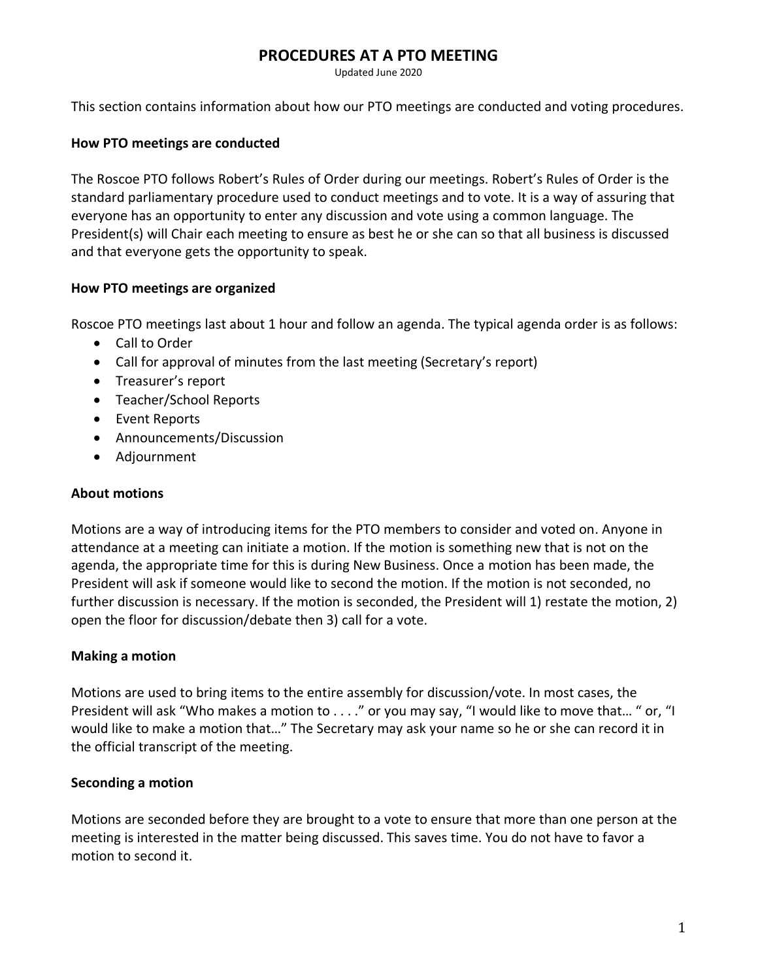# **PROCEDURES AT A PTO MEETING**

Updated June 2020

This section contains information about how our PTO meetings are conducted and voting procedures.

#### **How PTO meetings are conducted**

The Roscoe PTO follows Robert's Rules of Order during our meetings. Robert's Rules of Order is the standard parliamentary procedure used to conduct meetings and to vote. It is a way of assuring that everyone has an opportunity to enter any discussion and vote using a common language. The President(s) will Chair each meeting to ensure as best he or she can so that all business is discussed and that everyone gets the opportunity to speak.

#### **How PTO meetings are organized**

Roscoe PTO meetings last about 1 hour and follow an agenda. The typical agenda order is as follows:

- Call to Order
- Call for approval of minutes from the last meeting (Secretary's report)
- Treasurer's report
- Teacher/School Reports
- Event Reports
- Announcements/Discussion
- Adjournment

#### **About motions**

Motions are a way of introducing items for the PTO members to consider and voted on. Anyone in attendance at a meeting can initiate a motion. If the motion is something new that is not on the agenda, the appropriate time for this is during New Business. Once a motion has been made, the President will ask if someone would like to second the motion. If the motion is not seconded, no further discussion is necessary. If the motion is seconded, the President will 1) restate the motion, 2) open the floor for discussion/debate then 3) call for a vote.

#### **Making a motion**

Motions are used to bring items to the entire assembly for discussion/vote. In most cases, the President will ask "Who makes a motion to . . . ." or you may say, "I would like to move that… " or, "I would like to make a motion that…" The Secretary may ask your name so he or she can record it in the official transcript of the meeting.

#### **Seconding a motion**

Motions are seconded before they are brought to a vote to ensure that more than one person at the meeting is interested in the matter being discussed. This saves time. You do not have to favor a motion to second it.